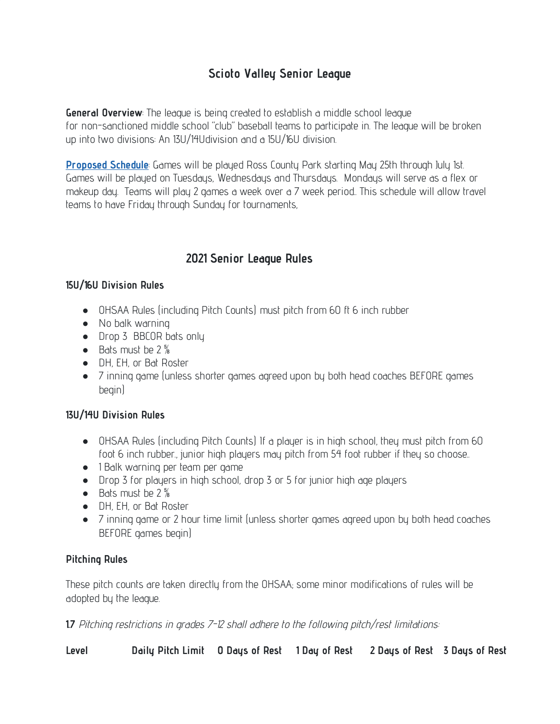# **Scioto Valley Senior League**

**General Overview**: The league is being created to establish a middle school league for non-sanctioned middle school "club" baseball teams to participate in. The league will be broken up into two divisions: An 13U/14Udivision and a 15U/16U division.

**[Proposed](https://chillicothebase.com/index.php/2020-schedules/division-1) Schedule**: Games will be played Ross County Park starting May 25th through July 1st. Games will be played on Tuesdays, Wednesdays and Thursdays. Mondays will serve as a flex or makeup day. Teams will play 2 games a week over a 7 week period.. This schedule will allow travel teams to have Friday through Sunday for tournaments,

# **2021 Senior League Rules**

#### **15U/16U Division Rules**

- OHSAA Rules (including Pitch Counts) must pitch from 60 ft 6 inch rubber
- No balk warning
- Drop 3 BBCOR bats only
- Bats must be  $2\frac{5}{8}$
- DH, EH, or Bat Roster
- 7 inning game (unless shorter games agreed upon by both head coaches BEFORE games begin)

### **13U/14U Division Rules**

- OHSAA Rules (including Pitch Counts) If a player is in high school, they must pitch from 60 foot 6 inch rubber., junior high players may pitch from 54 foot rubber if they so choose..
- 1 Balk warning per team per game
- Drop 3 for players in high school, drop 3 or 5 for junior high age players
- Bats must be 2 %
- DH, EH, or Bat Roster
- 7 inning game or 2 hour time limit (unless shorter games agreed upon by both head coaches BEFORE games begin)

### **Pitching Rules**

These pitch counts are taken directly from the OHSAA; some minor modifications of rules will be adopted by the league.

**1.7** Pitching restrictions in grades 7-12 shall adhere to the following pitch/rest limitations:

**Level Daily Pitch Limit O Days of Rest 1 Day of Rest 2 Days of Rest 3 Days of Rest**